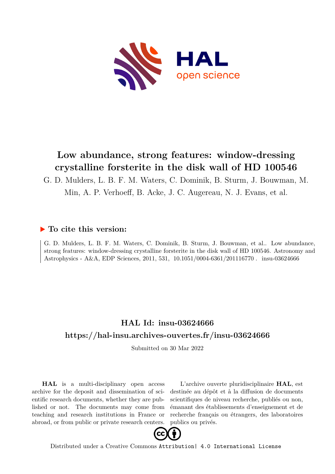

# **Low abundance, strong features: window-dressing crystalline forsterite in the disk wall of HD 100546**

G. D. Mulders, L. B. F. M. Waters, C. Dominik, B. Sturm, J. Bouwman, M. Min, A. P. Verhoeff, B. Acke, J. C. Augereau, N. J. Evans, et al.

## **To cite this version:**

G. D. Mulders, L. B. F. M. Waters, C. Dominik, B. Sturm, J. Bouwman, et al.. Low abundance, strong features: window-dressing crystalline forsterite in the disk wall of HD 100546. Astronomy and Astrophysics - A&A, EDP Sciences, 2011, 531, 10.1051/0004-6361/201116770. insu-03624666

## **HAL Id: insu-03624666 <https://hal-insu.archives-ouvertes.fr/insu-03624666>**

Submitted on 30 Mar 2022

**HAL** is a multi-disciplinary open access archive for the deposit and dissemination of scientific research documents, whether they are published or not. The documents may come from teaching and research institutions in France or abroad, or from public or private research centers.

L'archive ouverte pluridisciplinaire **HAL**, est destinée au dépôt et à la diffusion de documents scientifiques de niveau recherche, publiés ou non, émanant des établissements d'enseignement et de recherche français ou étrangers, des laboratoires publics ou privés.



Distributed under a Creative Commons [Attribution| 4.0 International License](http://creativecommons.org/licenses/by/4.0/)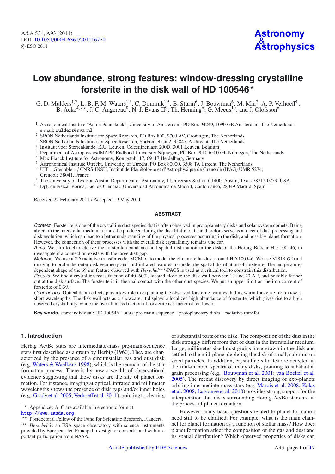## **Low abundance, strong features: window-dressing crystalline forsterite in the disk wall of HD 100546**-

G. D. Mulders<sup>1,2</sup>, L. B. F. M. Waters<sup>1,3</sup>, C. Dominik<sup>1,5</sup>, B. Sturm<sup>6</sup>, J. Bouwman<sup>6</sup>, M. Min<sup>7</sup>, A. P. Verhoeff<sup>1</sup>, B. Acke<sup>4,\*\*</sup>, J. C. Augereau<sup>8</sup>, N. J. Evans  $II^9$ , Th. Henning<sup>6</sup>, G. Meeus<sup>10</sup>, and J. Olofsson<sup>6</sup>

- <sup>1</sup> Astronomical Institute "Anton Pannekoek", University of Amsterdam, PO Box 94249, 1090 GE Amsterdam, The Netherlands e-mail: mulders@uva.nl
- <sup>2</sup> SRON Netherlands Institute for Space Research, PO Box 800, 9700 AV, Groningen, The Netherlands
- <sup>3</sup> SRON Netherlands Institute for Space Research, Sorbonnelaan 2, 3584 CA Utrecht, The Netherlands
- <sup>4</sup> Instituut voor Sterrenkunde, K.U. Leuven, Celestijnenlaan 200D, 3001 Leuven, Belgium <sup>5</sup> Denartment of Astrophysics (IMAPP Radboud University Nijmegen, PO Box 9010 6500
- <sup>5</sup> Department of Astrophysics/IMAPP, Radboud University Nijmegen, PO Box 9010 6500 GL Nijmegen, The Netherlands  $6$  Max Planck Institute for Astronomy, Königstuhl 17, 69117 Heidelberg, Germany
- 
- <sup>7</sup> Astronomical Institute Utrecht, University of Utrecht, PO Box 80000, 3508 TA Utrecht, The Netherlands
- <sup>8</sup> UJF Grenoble 1 / CNRS-INSU, Institut de Planétologie et d'Astrophysique de Grenoble (IPAG) UMR 5274, Grenoble 38041, France
- <sup>9</sup> The University of Texas at Austin, Department of Astronomy, 1 University Station C1400, Austin, Texas 78712-0259, USA
- <sup>10</sup> Dpt. de Física Teórica, Fac. de Ciencias, Universidad Autónoma de Madrid, Cantoblanco, 28049 Madrid, Spain

Received 22 February 2011 / Accepted 19 May 2011

#### **ABSTRACT**

Context. Forsterite is one of the crystalline dust species that is often observed in protoplanetary disks and solar system comets. Being absent in the interstellar medium, it must be produced during the disk lifetime. It can therefore serve as a tracer of dust processing and disk evolution, which can lead to a better understanding of the physical processes occurring in the disk, and possibly planet formation. However, the connection of these processes with the overall disk crystallinity remains unclear.

Aims. We aim to characterize the forsterite abundance and spatial distribution in the disk of the Herbig Be star HD 100546, to investigate if a connection exists with the large disk gap.

Methods. We use a 2D radiative transfer code, MCMax, to model the circumstellar dust around HD 100546. We use VISIR *Q*-band imaging to probe the outer disk geometry and mid-infrared features to model the spatial distribution of forsterite. The temperaturedependent shape of the 69 μm feature observed with *Herschel*<sup>\*\*\*</sup>/PACS is used as a critical tool to constrain this distribution.

Results. We find a crystalline mass fraction of 40–60%, located close to the disk wall between 13 and 20 AU, and possibly farther out at the disk surface. The forsterite is in thermal contact with the other dust species. We put an upper limit on the iron content of forsterite of 0.3%.

Conclusions. Optical depth effects play a key role in explaining the observed forsterite features, hiding warm forsterite from view at short wavelengths. The disk wall acts as a showcase: it displays a localized high abundance of forsterite, which gives rise to a high observed crystallinity, while the overall mass fraction of forsterite is a factor of ten lower.

**Key words.** stars: individual: HD 100546 – stars: pre-main sequence – protoplanetary disks – radiative transfer

## **1. Introduction**

Herbig Ae/Be stars are intermediate-mass pre-main-sequence stars first described as a group by Herbig (1960). They are characterized by the presence of a circumstellar gas and dust disk (e.g. Waters & Waelkens 1998), which is the remnant of the star formation process. There is by now a wealth of observational evidence suggesting that these disks are the site of planet formation. For instance, imaging at optical, infrared and millimeter wavelengths shows the presence of disk gaps and/or inner holes (e.g. Grady et al. 2005; Verhoeff et al. 2011), pointing to clearing of substantial parts of the disk. The composition of the dust in the disk strongly differs from that of dust in the interstellar medium. Large, millimeter sized dust grains have grown in the disk and settled to the mid-plane, depleting the disk of small, sub-micron sized particles. In addition, crystalline silicates are detected in the mid-infrared spectra of many disks, pointing to substantial grain processing (e.g. Bouwman et al. 2001; van Boekel et al. 2005). The recent discovery by direct imaging of exo-planets orbiting intermediate-mass stars (e.g. Marois et al. 2008; Kalas et al. 2008; Lagrange et al. 2010) provides strong support for the interpretation that disks surrounding Herbig Ae/Be stars are in the process of planet formation.

However, many basic questions related to planet formation need still to be clarified. For example: what is the main channel for planet formation as a function of stellar mass? How does planet formation affect the composition of the gas and dust and its spatial distribution? Which observed properties of disks can

 $\star$ Appendices A–C are available in electronic form at

<http://www.aanda.org>

<sup>\*\*</sup> Postdoctoral Fellow of the Fund for Scientific Research, Flanders. \*\*\* Herschel is an ESA space observatory with science instruments provided by European-led Principal Investigator consortia and with important participation from NASA.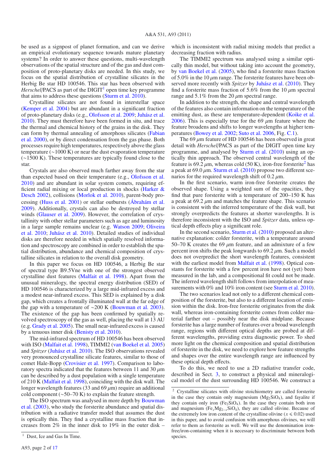be used as a signpost of planet formation, and can we derive an empirical evolutionary sequence towards mature planetary systems? In order to answer these questions, multi-wavelength observations of the spatial structure and of the gas and dust composition of proto-planetary disks are needed. In this study, we focus on the spatial distribution of crystalline silicates in the Herbig Be star HD 100546. This star has been observed with *Herschel*/PACS as part of the  $\text{Diff}^{-1}$  open time key programme that aims to address these questions (Sturm et al. 2010).

Crystalline silicates are not found in interstellar space (Kemper et al. 2004) but are abundant in a significant fraction of proto-planetary disks (e.g., Olofsson et al. 2009; Juhász et al. 2010). They must therefore have been formed in situ, and trace the thermal and chemical history of the grains in the disk. They can form by thermal annealing of amorphous silicates (Fabian et al. 2000), or by direct condensation from the gas phase. Both processes require high temperatures, respectively above the glass temperature (∼1000 K) or near the dust evaporation temperature (∼1500 K). These temperatures are typically found close to the star.

Crystals are also observed much farther away from the star than expected based on their temperature (e.g., Olofsson et al. 2010) and are abundant in solar system comets, requiring efficient radial mixing or local production in shocks (Harker & Desch 2002), collisions (Morlok et al. 2010), parent-body processing (Huss et al. 2001) or stellar outbursts (Ábrahám et al. 2009). Additionally, crystals can also be destroyed by stellar winds (Glauser et al. 2009). However, the correlation of crystallinity with other stellar parameters such as age and luminosity in a large sample remains unclear (e.g. Watson 2009; Oliveira et al. 2010; Juhász et al. 2010). Detailed studies of individual disks are therefore needed in which spatially resolved information and spectroscopy are combined in order to establish the spatial distribution, abundance and chemical composition of crystalline silicates in relation to the overall disk geometry.

In this paper we focus on HD 100546, a Herbig Be star of spectral type B9.5Vne with one of the strongest observed crystalline dust features (Malfait et al. 1998). Apart from the unusual mineralogy, the spectral energy distribution (SED) of HD 100546 is characterized by a large mid-infrared excess and a modest near-infrared excess. This SED is explained by a disk gap, which creates a frontally illuminated wall at the far edge of the gap with a temperature of ∼200 K (Bouwman et al. 2003). The existence of the gap has been confirmed by spatially revolved spectroscopy of the gas as well, placing the wall at 13 AU (e.g. Grady et al. 2005). The small near-infrared excess is caused by a tenuous inner disk (Benisty et al. 2010).

The mid-infrared spectrum of HD 100546 has been observed with ISO (Malfait et al. 1998), TIMMI2 (van Boekel et al. 2005) and *Spitzer* (Juhász et al. 2010). The ISO observations revealed very pronounced crystalline silicate features, similar to those of comet Hale-Bopp (Crovisier et al. 1997). Comparison to laboratory spectra indicated that the features between 11 and 30  $\mu$ m can be described by a dust population with a single temperature of 210 K (Malfait et al. 1998), coinciding with the disk wall. The longer wavelength features (33 and 69  $\mu$ m) require an additional cold component (∼50–70 K) to explain the feature strength.

The ISO spectrum was analysed in more depth by Bouwman et al. (2003), who study the forsterite abundance and spatial distribution with a radiative transfer model that assumes the dust is optically thin. They find a crystalline mass fraction that increases from 2% in the inner disk to 19% in the outer disk – which is inconsistent with radial mixing models that predict a decreasing fraction with radius.

The TIMMI2 spectrum was analysed using a similar optically thin model, but without taking into account the geometry, by van Boekel et al. (2005), who find a forsterite mass fraction of 5.0% in the 10  $\mu$ m range. The forsterite features have been observed more recently with *Spitzer* by Juhász et al. (2010). They find a forsterite mass fraction of 5.6% from the 10  $\mu$ m spectral range and  $5.1\%$  from the 20  $\mu$ m spectral range.

In addition to the strength, the shape and central wavelength of the features also contain information on the temperature of the emitting dust, as these are temperature-dependent (Koike et al. 2006). This is especially true for the 69  $\mu$ m feature where the feature broadens and shifts to longer wavelengths at higher temperatures (Bowey et al. 2002; Suto et al. 2006, Fig. C.1).

The 69  $\mu$ m feature of HD 100546 has been observed in great detail with *Herschel*/PACS as part of the DIGIT open time key programme, and analysed by Sturm et al. (2010) using an optically thin approach. The observed central wavelength of the feature is 69.2  $\mu$ m, whereas cold (50 K), iron-free forsterite<sup>2</sup> has a peak at  $69.0 \mu$ m. Sturm et al. (2010) propose two different scenarios for the required wavelength shift of 0.2  $\mu$ m.

In the first scenario, warm iron-free forsterite creates the observed shape. Using a weighted sum of the opacities, they find that pure forsterite with a temperature of 200–150 K has a peak at  $69.2 \mu m$  and matches the feature shape. This scenario is consistent with the inferred temperature of the disk wall, but strongly overpredicts the features at shorter wavelengths. It is therefore inconsistent with the ISO and *Spitzer* data, unless optical depth effects play a significant role.

In the second scenario, Sturm et al. (2010) proposed an alternative explanation: colder forsterite, with a temperature around 50–70 K creates the 69  $\mu$ m feature, and an admixture of a few percent iron shifts the peak longwards to  $69.2 \mu$ m. Such a model does not overpredict the short wavelength features, consistent with the earliest model from Malfait et al. (1998). Optical constants for forsterite with a few percent iron have not (yet) been measured in the lab, and a compositional fit could not be made. The inferred wavelength shift follows from interpolation of measurements with 0% and 10% iron content (see Sturm et al. 2010).

The two scenarios lead not only to a different chemical composition of the forsterite, but also to a different location of emission within the disk. Iron-free forsterite originates from the disk wall, whereas iron-containing forsterite comes from colder material farther out – possibly near the disk midplane. Because forsterite has a large number of features over a broad wavelength range, regions with different optical depths are probed at different wavelengths, providing extra diagnostic power. To shed more light on the chemical composition and spatial distribution of forsterite in the disk, we need to explore how feature strengths and shapes over the entire wavelength range are influenced by these optical depth effects.

To do this, we need to use a 2D radiative transfer code, described in Sect. 3, to construct a physical and mineralogical model of the dust surrounding HD 100546. We construct a

<sup>&</sup>lt;sup>1</sup> Dust, Ice and Gas In Time.

<sup>2</sup> Crystalline silicates with olivine stoichiometry are called forsterite in the case they contain only magnesium  $(Mg_2SiO_4)$ , and fayalite if they contain only iron  $(Fe_2SiO_4)$ . In the case they contain both iron and magnesium (Fe*x*Mg2−*<sup>x</sup>*SiO4), they are called olivine. Because of the extremely low iron content of the crystalline olivine ( $x \le 0.02$ ) used in this paper, and to avoid confusion with amorphous olivines, we will refer to them as forsterite as well. We will use the denomination ironfree/iron-containing when it is necessary to discriminate between both species.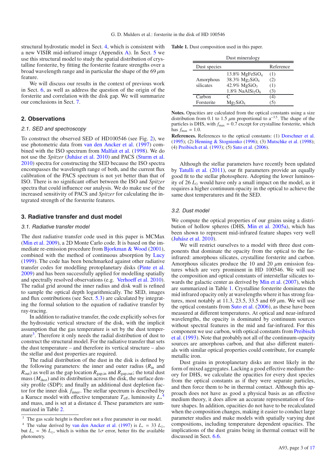structural hydrostatic model in Sect. 4, which is consistent with a new VISIR mid-infrared image (Appendix A). In Sect. 5 we use this structural model to study the spatial distribution of crystalline forsterite, by fitting the forsterite feature strengths over a broad wavelength range and in particular the shape of the 69  $\mu$ m feature.

We will discuss our results in the context of previous work in Sect. 6, as well as address the question of the origin of the forsterite and correlation with the disk gap. We will summarize our conclusions in Sect. 7.

## **2. Observations**

#### 2.1. SED and spectroscopy

To construct the observed SED of HD100546 (see Fig. 2), we use photometric data from van den Ancker et al. (1997) combined with the ISO spectrum from Malfait et al. (1998). We do not use the *Spitzer* (Juhász et al. 2010) and PACS (Sturm et al. 2010) spectra for constructing the SED because the ISO spectra encompasses the wavelength range of both, and the current flux calibration of the PACS spectrum is not yet better than that of ISO. There is no significant offset between the ISO and *Spitzer* spectra that could influence our analysis. We do make use of the increased sensitivity of PACS and *Spitzer* for calculating the integrated strength of the forsterite features.

#### **3. Radiative transfer and dust model**

#### 3.1. Radiative transfer model

The dust radiative transfer code used in this paper is MCMax (Min et al. 2009), a 2D Monte Carlo code. It is based on the immediate re-emission procedure from Bjorkman & Wood (2001), combined with the method of continuous absorption by Lucy (1999). The code has been benchmarked against other radiative transfer codes for modelling protoplanetary disks (Pinte et al. 2009) and has been successfully applied for modelling spatially and spectrally resolved observations (e.g. Verhoeff et al. 2010). The radial grid around the inner radius and disk wall is refined to sample the optical depth logarithmically. The SED, images and flux contributions (see Sect. 5.3) are calculated by integrating the formal solution to the equation of radiative transfer by ray-tracing.

In addition to radiative transfer, the code explicitly solves for the hydrostatic vertical structure of the disk, with the implicit assumption that the gas temperature is set by the dust temperature3. Therefore it only needs the radial distribution of dust to construct the structural model. For the radiative transfer that sets the dust temperature – and therefore its vertical structure – also the stellar and dust properties are required.

The radial distribution of the dust in the disk is defined by the following parameters: the inner and outer radius  $(R<sub>in</sub>$  and  $R_{\text{out}}$ ) as well as the gap location  $R_{\text{gap,in}}$  and  $R_{\text{gap,out}}$ ; the total dust mass  $(M<sub>dust</sub>)$  and its distribution across the disk, the surface density profile (SDP); and finally an additional dust depletion factor for the inner disk *f*inner. The stellar spectrum is described by a Kurucz model with effective temperature *T*<sup>e</sup>ff, luminosity *L*<sup>∗</sup> 4 and mass, and is set at a distance d. These parameters are summarized in Table 2.

**Table 1.** Dust composition used in this paper.

| ecies |  |  |
|-------|--|--|

| Dust species |                                            | Reference |
|--------------|--------------------------------------------|-----------|
|              | 13.8% MgFeSiO <sub>4</sub>                 | (1)       |
| Amorphous    | 38.3% Mg <sub>2</sub> SiO <sub>4</sub>     | (2)       |
| silicates    | $42.9\%$ MgSiO <sub>3</sub>                | (1)       |
|              | $1.8\%$ NaAlSi <sub>2</sub> O <sub>6</sub> | 3)        |
| Carbon       |                                            | 4)        |
| Forsterite   | $Mg_2SiO_4$                                |           |

**Notes.** Opacities are calculated from the optical constants using a size distribution from 0.1 to 1.5  $\mu$ m proportional to a<sup>-3.5</sup>. The shape of the particles is DHS, with  $f_{\text{max}} = 0.7$  except for crystalline forsterite, which has  $f_{\text{max}} = 1.0$ .

**References.** References to the optical constants: (1) Dorschner et al. (1995); (2) Henning & Stognienko (1996); (3) Mutschke et al. (1998); (4) Preibisch et al. (1993); (5) Suto et al. (2006).

Although the stellar parameters have recently been updated by Tatulli et al. (2011), our fit parameters provide an equally good fit to the stellar photosphere. Adopting the lower luminosity of 26  $L_0$  would have only a small impact on the model, as it requires a higher continuum opacity in the optical to achieve the same dust temperatures and fit the SED.

#### 3.2. Dust model

We compute the optical properties of our grains using a distribution of hollow spheres (DHS, Min et al. 2005a), which has been shown to represent mid-infrared feature shapes very well (Juhász et al. 2010).

We will restrict ourselves to a model with three dust components that dominate the opacity from the optical to the farinfrared: amorphous silicates, crystalline forsterite and carbon. Amorphous silicates produce the 10 and 20  $\mu$ m emission features which are very prominent in HD 100546. We will use the composition and optical constants of interstellar silicates towards the galactic center as derived by Min et al. (2007), which are summarized in Table 1. Crystalline forsterite dominates the mid infrared opacity only at wavelengths where it has strong features, most notably at 11.3, 23.5, 33.5 and 69  $\mu$ m. We will use the optical constants from Suto et al. (2006), as these have been measured at different temperatures. At optical and near-infrared wavelengths, the opacity is dominated by continuum sources without spectral features in the mid and far-infrared. For this component we use carbon, with optical constants from Preibisch et al. (1993). Note that probably not all of the continuum-opacity sources are amorphous carbon, and that also different materials with similar optical properties could contribute, for example metallic iron.

Dust grains in protoplanetary disks are most likely in the form of mixed aggregates. Lacking a good effective medium theory for DHS, we calculate the opacities for every dust species from the optical constants as if they were separate particles, and then force them to be in thermal contact. Although this approach does not have as good a physical basis as an effective medium theory, it does allow an accurate representation of feature shapes. In addition, opacities do not have to be recalculated when the composition changes, making it easier to conduct large parameter studies and make models with spatially varying dust compositions, including temperature dependent opacities. The implications of the dust grains being in thermal contact will be discussed in Sect. 6.6.

<sup>&</sup>lt;sup>3</sup> The gas scale height is therefore not a free parameter in our model.

<sup>&</sup>lt;sup>4</sup> The value derived by van den Ancker et al. (1997) is  $L_* = 33 L_{\odot}$ , but  $L_* = 36 L_{\odot}$ , which is within the 1 $\sigma$  error, better fits the available photometry.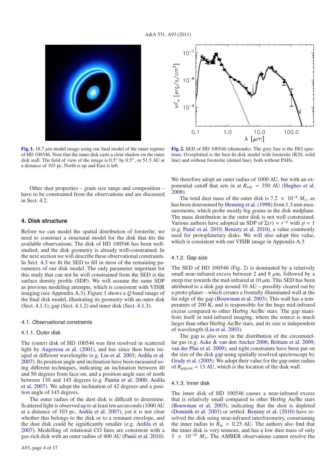

**[Fig. 1.](http://dexter.edpsciences.org/applet.php?DOI=10.1051/0004-6361/201116770&pdf_id=1)** 18.7  $\mu$ m model image using our final model of the inner regions of HD 100546. Note that the inner disk casts a clear shadow on the outer disk wall. The field of view of the image is  $0.5''$  by  $0.5''$ , or  $51.5$  AU at a distance of 103 pc. North is up and East is left.

Other dust properties – grain size range and composition – have to be constrained from the observations and are discussed in Sect. 4.2.

#### **4. Disk structure**

Before we can model the spatial distribution of forsterite, we need to construct a structural model for the disk that fits the available observations. The disk of HD 100546 has been wellstudied, and the disk geometry is already well-constrained. In the next section we will describe these observational constraints. In Sect. 4.3 we fit the SED to fill in most of the remaining parameters of our disk model. The only parameter important for this study that can not be well constrained from the SED is the surface density profile (SDP). We will assume the same SDP as previous modeling attempts, which is consistent with VISIR imaging (see Appendix A.3). Figure 1 shows a *Q* band image of the final disk model, illustrating its geometry with an outer disk (Sect. 4.1.1), gap (Sect. 4.1.2) and inner disk (Sect. 4.1.3).

#### 4.1. Observational constraints

#### 4.1.1. Outer disk

The (outer) disk of HD 100546 was first resolved in scattered light by Augereau et al. (2001), and has since then been imaged at different wavelengths (e.g. Liu et al. 2003; Ardila et al. 2007). Its position angle and inclination have been measured using different techniques, indicating an inclination between 40 and 50 degrees from face-on, and a position angle east of north between 130 and 145 degrees (e.g. Pantin et al. 2000; Ardila et al. 2007). We adopt the inclination of 42 degrees and a position angle of 145 degrees.

The outer radius of the dust disk is difficult to determine. Scattered light is observed up to at least ten arcseconds (1000 AU at a distance of 103 pc, Ardila et al. 2007), yet it is not clear whether this belongs to the disk or to a remnant envelope, and the dust disk could be significantly smaller (e.g. Ardila et al. 2007). Modelling of rotational CO lines are consistent with a gas-rich disk with an outer radius of 400 AU (Panić et al. 2010).



**[Fig. 2.](http://dexter.edpsciences.org/applet.php?DOI=10.1051/0004-6361/201116770&pdf_id=2)** SED of HD 100546 (diamonds). The grey line is the ISO spectrum. Overplotted is the best-fit disk model with forsterite (R20, solid line) and without forsterite (dotted line), both without PAHs.

We therefore adopt an outer radius of 1000 AU, but with an exponential cutoff that sets in at  $R_{\text{exp}} = 350$  AU (Hughes et al. 2008).

The total dust mass of the outer disk is 7.2  $\times$  10<sup>-4</sup>  $M_{\odot}$ , as has been determined by Henning et al. (1998) from 1.3 mm measurements, which probe mostly big grains in the disk midplane. The mass distribution in the outer disk is not well constrained. Various authors have adopted an SDP of  $\Sigma(r) = r^{-p}$  with  $p = 1$ (e.g. Panić et al. 2010; Benisty et al. 2010), a value commonly used for protoplanetary disks. We will also adopt this value, which is consistent with our VISIR image in Appendix A.3

## 4.1.2. Gap size

The SED of HD 100546 (Fig. 2) is dominated by a relatively small near-infrared excess between 2 and 8  $\mu$ m, followed by a steep rise towards the mid-infrared at  $10 \mu$ m. This SED has been attributed to a disk gap around 10 AU – possibly cleared out by a proto-planet – which creates a frontally illuminated wall at the far edge of the gap (Bouwman et al. 2003). This wall has a temperature of 200 K, and is responsible for the huge mid-infrared excess compared to other Herbig Ae/Be stars. The gap manifests itself in mid-infrared imaging, where the source is much larger than other Herbig Ae/Be stars, and its size is independent of wavelength (Liu et al. 2003).

The gap is also seen in the distribution of the circumstellar gas (e.g. Acke & van den Ancker 2006; Brittain et al. 2009; van der Plas et al. 2009), and tight constraints have been put on the size of the disk gap using spatially resolved spectroscopy by Grady et al. (2005). We adopt their value for the gap outer radius of  $R_{\text{gap,out}} = 13$  AU, which is the location of the disk wall.

#### 4.1.3. Inner disk

The inner disk of HD 100546 causes a near-infrared excess that is relatively small compared to other Herbig Ae/Be stars (Bouwman et al. 2003), indicating that the dust is depleted (Dominik et al. 2003) or settled. Benisty et al. (2010) have resolved the disk using near-infrared interferometry, constraining the inner radius to  $R_{\text{in}} = 0.25$  AU. The authors also find that the inner disk is very tenuous, and has a low dust mass of only  $3 \times 10^{-10}$  *M*<sub>o</sub>. The AMBER observations cannot resolve the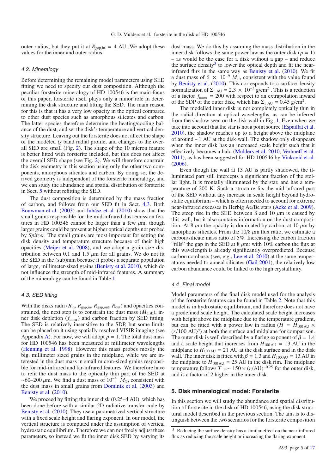outer radius, but they put it at  $R_{\text{gap,in}} = 4$  AU. We adopt these values for the inner and outer radius.

#### 4.2. Mineralogy

Before determining the remaining model parameters using SED fitting we need to specify our dust composition. Although the peculiar forsterite mineralogy of HD 100546 is the main focus of this paper, forsterite itself plays only a minor role in determining the disk structure and fitting the SED. The main reason for this is that it has a very low opacity in the optical compared to other dust species such as amorphous silicates and carbon. The latter species therefore determine the heating/cooling balance of the dust, and set the disk's temperature and vertical density structure. Leaving out the forsterite does not affect the shape of the modeled *Q* band radial profile, and changes to the overall SED are small (Fig. 2). The shape of the 10 micron feature is better fitted with forsterite included, but this does not affect the overall SED shape (see Fig. 2). We will therefore constrain the disk geometry in this section using only the other two components, amorphous silicates and carbon. By doing so, the derived geometry is independent of the forsterite mineralogy, and we can study the abundance and spatial distribution of forsterite in Sect. 5 without refitting the SED.

The dust composition is determined by the mass fraction of carbon, and follows from our SED fit in Sect. 4.3. Both Bouwman et al. (2003) and Juhász et al. (2010) show that the small grains responsible for the mid-infrared dust emission features in HD 100546 cannot be larger than a few  $\mu$ m, though larger grains could be present at higher optical depths not probed by *Spitzer*. The small grains are most important for setting the disk density and temperature structure because of their high opacities (Meijer et al. 2008), and we adopt a grain size distribution between 0.1 and 1.5  $\mu$ m for all grains. We do not fit the SED in the (sub)mm because it probes a separate population of large, millimeter-sized grains (Benisty et al. 2010), which do not influence the strength of mid-infrared features. A summary of the mineralogy can be found in Table 1.

## 4.3. SED fitting

With the disks radii  $(R_{\text{in}}, R_{\text{gap,in}}, R_{\text{gap,out}}, R_{\text{out}})$  and opacities constrained, the next step is to constrain the dust mass  $(M<sub>disk</sub>)$ , inner disk depletion (*f*inner) and carbon fraction by SED fitting. The SED is relatively insensitive to the SDP, but some limits can be placed on it using spatially resolved VISIR imaging (see Appendix A). For now, we will adopt  $p = 1$ . The total dust mass for HD 100546 has been measured at millimeter wavelengths (Henning et al. 1998). However this mass probes mostly the big, millimeter sized grains in the midplane, while we are interested in the dust mass in small micron-sized grains responsible for mid-infrared and far-infrared features. We therefore have to refit the dust mass to the optically thin part of the SED at ~60–200  $\mu$ m. We find a dust mass of 10<sup>-4</sup>  $\dot{M}_{\odot}$ , consistent with the dust mass in small grains from Dominik et al. (2003) and Benisty et al. (2010).

We proceed by fitting the inner disk  $(0.25-4 \text{ AU})$ , which has been done before with a similar 2D radiative transfer code by Benisty et al. (2010). They use a parametrized vertical structure with a fixed scale height and flaring exponent. In our model, the vertical structure is computed under the assumption of vertical hydrostatic equilibrium. Therefore we can not freely adjust these parameters, so instead we fit the inner disk SED by varying its dust mass. We do this by assuming the mass distribution in the inner disk follows the same power law as the outer disk  $(p = 1)$ – as would be the case for a disk without a gap – and reduce the surface density<sup>5</sup> to lower the optical depth and fit the nearinfrared flux in the same way as Benisty et al. (2010). We fit a dust mass of 6  $\times$  10<sup>-9</sup>  $M_{\odot}$ , consistent with the value found by Benisty et al. (2010). This corresponds to a surface density normalization of  $\Sigma_{1 \text{ AU}} = 2.3 \times 10^{-3} \text{ g/cm}^2$ . This is a reduction of a factor  $f_{\text{inner}} = 200$  with respect to an extrapolation inward of the SDP of the outer disk, which has  $\Sigma_{1 \text{ AU}} = 0.45 \text{ g/cm}^2$ .

The modelled inner disk is not completely optically thin in the radial direction at optical wavelengths, as can be inferred from the shadow seen on the disk wall in Fig. 1. Even when we take into account that the star is not a point source (Espaillat et al. 2010), the shadow reaches up to a height above the midplane of around ∼1 AU at the disk wall. The shadow only disappears when the inner disk has an increased scale height such that it effectively becomes a halo (Mulders et al. 2010; Verhoeff et al. 2011), as has been suggested for HD 100546 by Vinković et al. (2006).

Even though the wall at 13 AU is partly shadowed, the illuminated part still intercepts a significant fraction of the stellar light. It is frontally illuminated by the star, and has a temperature of 200 K. Such a structure fits the mid-infrared part of the SED without any increase in scale height beyond hydrostatic equilibrium – which is often needed to account for extreme near-infrared excesses in Herbig Ae/Be stars (Acke et al. 2009). The steep rise in the SED between 8 and 10  $\mu$ m is caused by this wall, but it also contains information on the dust composition. At 8  $\mu$ m the opacity is dominated by carbon, at 10  $\mu$ m by amorphous silicates. From the  $10/8 \mu m$  flux ratio, we estimate a carbon/silicate mass ratio of 5%. Increasing the carbon fraction "fills" the gap in the SED at 8  $\mu$ m: with 10% carbon the flux at this wavelength is already significantly overpredicted. Because carbon combusts (see, e.g., Lee et al. 2010) at the same temperatures needed to anneal silicates (Gail 2001), the relatively low carbon abundance could be linked to the high crystallinity.

#### 4.4. Final model

Model parameters of the final disk model used for the analysis of the forsterite features can be found in Table 2. Note that this model is in hydrostatic equilibrium, and therefore does not have a predefined scale height. The calculated scale height increases with height above the midplane due to the temperature gradient, but can be fitted with a power law in radius ( $H = H_{100 \text{ AU}} \times$  $(r/100 \text{ AU})^{\beta}$ ) at both the surface and midplane for comparison. The outer disk is well described by a flaring exponent of  $\beta = 1.4$ and a scale height that increases from  $H_{100 \text{ AU}} = 13 \text{ AU}$  in the midplane to  $H_{100 \text{ AU}} = 21 \text{ AU}$  at the disk surface and in the disk wall. The inner disk is fitted with  $\beta = 1.3$  and  $H_{100 \text{ AU}} = 13 \text{ AU}$  in the midplane to  $H_{100 \text{ AU}} = 25 \text{ AU}$  in the disk rim. The midplane temperature follows  $T = \sim 150 \times (r/\text{AU})^{-0.25}$  for the outer disk, and is a factor of 2 higher in the inner disk.

#### **5. Disk mineralogical model: Forsterite**

In this section we will study the abundance and spatial distribution of forsterite in the disk of HD 100546, using the disk structural model described in the previous section. The aim is to distinguish between the two scenarios for the forsterite composition

<sup>5</sup> Reducing the surface density has a similar effect on the near-infrared flux as reducing the scale height or increasing the flaring exponent.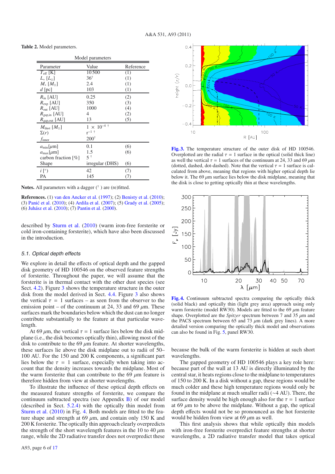**Table 2.** Model parameters.

| Model parameters                   |                      |           |  |  |
|------------------------------------|----------------------|-----------|--|--|
| Parameter                          | Value                | Reference |  |  |
| $T_{\rm eff}$ [K]                  | 10500                | (1)       |  |  |
| $L_*$ [ $L_{\odot}$ ]              | $36^{\dagger}$       | (1)       |  |  |
| $M_{\ast}$ $[M_{\odot}]$           | 2.4                  | (1)       |  |  |
| $d$ [pc]                           | 103                  | (1)       |  |  |
| $R_{\rm in}$ [AU]                  | 0.25                 | (2)       |  |  |
| $R_{\text{exp}}$ [AU]              | 350                  | (3)       |  |  |
| $R_{\text{out}}$ [AU]              | 1000                 | (4)       |  |  |
| $R_{\text{gap,in}}$ [AU]           | 4                    | (2)       |  |  |
| $R_{\text{gap,out}}$ [AU]          | 13                   | (5)       |  |  |
| $M_{\rm dust}$ [ $M_{\odot}$ ]     | $1 \times 10^{-4}$ † |           |  |  |
| $\Sigma(r)$                        | $r^{-1}$ †           |           |  |  |
| $f_{\text{inner}}$                 | $200^{\dagger}$      |           |  |  |
| $a_{\min}[\mu m]$                  | 0.1                  | (6)       |  |  |
| $a_{\text{max}}[\mu m]$            | 1.5                  | (6)       |  |  |
| carbon fraction $\lceil \% \rceil$ | † 5                  |           |  |  |
| Shape                              | irregular (DHS)      | (6)       |  |  |
| $i \lceil \circ \rceil$            | 42                   | (7)       |  |  |
| РA                                 | 145                  | (7)       |  |  |

**Notes.** All parameters with a dagger  $(\dagger)$  are (re)fitted.

**References.** (1) van den Ancker et al. (1997); (2) Benisty et al. (2010); (3) Panić et al.  $(2010)$ ; (4) Ardila et al.  $(2007)$ ; (5) Grady et al.  $(2005)$ ; (6) Juhász et al. (2010); (7) Pantin et al. (2000).

described by Sturm et al. (2010) (warm iron-free forsterite or cold iron-containing forsterite), which have also been discussed in the introduction.

#### 5.1. Optical depth effects

We explore in detail the effects of optical depth and the gapped disk geometry of HD 100546 on the observed feature strengths of forsterite. Throughout the paper, we will assume that the forsterite is in thermal contact with the other dust species (see Sect. 4.2). Figure 3 shows the temperature structure in the outer disk from the model derived in Sect. 4.4. Figure 3 also shows the vertical  $\tau = 1$  surfaces – as seen from the observer to the emission point – of the continuum at 24, 33 and 69  $\mu$ m. These surfaces mark the boundaries below which the dust can no longer contribute substantially to the feature at that particular wavelength.

At 69  $\mu$ m, the vertical  $\tau = 1$  surface lies below the disk midplane (i.e., the disk becomes optically thin), allowing most of the disk to contribute to the 69  $\mu$ m feature. At shorter wavelengths, these surfaces lie above the disk midplane out to radii of 50– 100 AU. For the 150 and 200 K components, a significant part lies below the  $\tau = 1$  surface, especially when taking into account that the density increases towards the midplane. Most of the warm forsterite that can contribute to the 69  $\mu$ m feature is therefore hidden from view at shorter wavelengths.

To illustrate the influence of these optical depth effects on the measured feature strengths of forsterite, we compare the continuum subtracted spectra (see Appendix B) of our model (described in Sect. 5.2.4) with the optically thin model from Sturm et al. (2010) in Fig. 4. Both models are fitted to the feature shape and strength at 69  $\mu$ m, and contain only 150 K and 200 K forsterite. The optically thin approach clearly overpredicts the strength of the short wavelength features in the 10 to 40  $\mu$ m range, while the 2D radiative transfer does not overpredict these



**[Fig. 3.](http://dexter.edpsciences.org/applet.php?DOI=10.1051/0004-6361/201116770&pdf_id=3)** The temperature structure of the outer disk of HD 100546. Overplotted are the radial  $\tau = 1$  surface in the optical (solid thick line) as well the vertical  $\tau = 1$  surfaces of the continuum at 24, 33 and 69  $\mu$ m (dotted, dashed, dot-dashed). Note that the vertical  $\tau = 1$  surface is calculated from above, meaning that regions with higher optical depth lie below it. The  $69 \mu m$  surface lies below the disk midplane, meaning that the disk is close to getting optically thin at these wavelengths.



**[Fig. 4.](http://dexter.edpsciences.org/applet.php?DOI=10.1051/0004-6361/201116770&pdf_id=4)** Continuum subtracted spectra comparing the optically thick (solid black) and optically thin (light grey area) approach using only warm forsterite (model RW30). Models are fitted to the 69  $\mu$ m feature shape. Overplotted are the *Spitzer* spectrum between 7 and 35 μm and the PACS spectrum between 65 and 73  $\mu$ m (dark grey lines). A more detailed version comparing the optically thick model and observations can also be found in Fig. 5, panel RW30.

because the bulk of the warm forsterite is hidden at such short wavelengths.

The gapped geometry of HD 100546 plays a key role here: because part of the wall at 13 AU is directly illuminated by the central star, it heats regions close to the midplane to temperatures of 150 to 200 K. In a disk without a gap, these regions would be much colder and these high temperature regions would only be found in the midplane at much smaller radii (∼4 AU). There, the surface density would be high enough also for the  $\tau = 1$  surface at 69  $\mu$ m to be above the midplane. Without a gap, the optical depth effects would not be so pronounced as the hot forsterite would be hidden from view at 69  $\mu$ m as well.

This first analysis shows that while optically thin models with iron-free forsterite overpredict feature strengths at shorter wavelengths, a 2D radiative transfer model that takes optical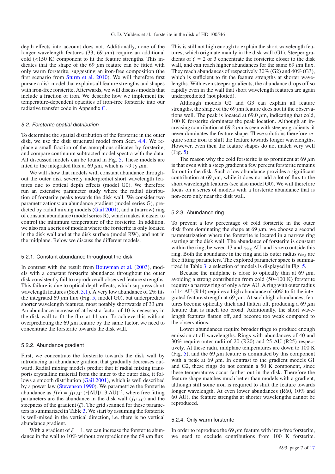depth effects into account does not. Additionally, none of the longer wavelength features (33, 69  $\mu$ m) require an additional cold (<150 K) component to fit the feature strengths. This indicates that the shape of the 69  $\mu$ m feature can be fitted with only warm forsterite, suggesting an iron-free composition (the first scenario from Sturm et al. 2010). We will therefore first pursue a disk model that explains all feature strengths and shapes with iron-free forsterite. Afterwards, we will discuss models that include a fraction of iron. We describe how we implement the temperature-dependent opacities of iron-free forsterite into our radiative transfer code in Appendix C.

#### 5.2. Forsterite spatial distribution

To determine the spatial distribution of the forsterite in the outer disk, we use the disk structural model from Sect. 4.4. We replace a small fraction of the amorphous silicates by forsterite, and compare continuum subtracted model spectra with the data. All discussed models can be found in Fig. 5. These models are fitted to the integrated flux at 69 μm, which is ∼9 Jy μm.

We will show that models with constant abundance throughout the outer disk severely underpredict short wavelength features due to optical depth effects (model G0). We therefore run an extensive parameter study where the radial distribution of forsterite peaks towards the disk wall. We consider two parametrizations: an abundance gradient (model series G), predicted by radial mixing models (Gail 2001), and a (narrow) ring of constant abundance (model series R), which makes it easier to control the minimum temperature of the forsterite. In addition, we also ran a series of models where the forsterite is only located in the disk wall and at the disk surface (model RW), and not in the midplane. Below we discuss the different models.

#### 5.2.1. Constant abundance throughout the disk

In contrast with the result from Bouwman et al. (2003), models with a constant forsterite abundance throughout the outer disk consistently fail to reproduce all observed feature strengths. This failure is due to optical depth effects, which suppress short wavelength features (Sect. 5.1). A very low abundance of 2% fits the integrated 69  $\mu$ m flux (Fig. 5, model G0), but underpredicts shorter wavelength features, most notably shortwards of 33  $\mu$ m. An abundance increase of at least a factor of 10 is necessary in the disk wall to fit the flux at 11  $\mu$ m. To achieve this without overpredicting the 69  $\mu$ m feature by the same factor, we need to concentrate the forsterite towards the disk wall.

#### 5.2.2. Abundance gradient

First, we concentrate the forsterite towards the disk wall by introducing an abundance gradient that gradually decreases outward. Radial mixing models predict that if radial mixing transports crystalline material from the inner to the outer disk, it follows a smooth distribution (Gail 2001), which is well described by a power law (Stevenson 1990). We parametrize the forsterite abundance as  $f(r) = f_{13 \text{ AU}} (r[\text{AU}]/13 \text{ AU})^{-\xi}$ , where free fitting parameters are the abundance in the disk wall  $(f_{13 \text{ AU}})$  and the steepness of the gradient  $(\xi)$ . The grid scanned for these parameters is summarized in Table 3. We start by assuming the forsterite is well-mixed in the vertical direction, i.e. there is no vertical abundance gradient.

With a gradient of  $\xi = 1$ , we can increase the forsterite abundance in the wall to 10% without overpredicting the 69  $\mu$ m flux. This is still not high enough to explain the short wavelength features, which originate mainly in the disk wall (G1). Steeper gradients of  $\xi = 2$  or 3 concentrate the forsterite closer to the disk wall, and can reach higher abundances for the same 69  $\mu$ m flux. They reach abundances of respectively 30% (G2) and 40% (G3), which is sufficient to fit the feature strengths at shorter wavelengths. With even steeper gradients, the abundance drops off so rapidly even in the wall that short wavelength features are again underpredicted (not plotted).

Although models G2 and G3 can explain all feature strengths, the shape of the  $69 \mu m$  feature does not fit the observations well. The peak is located at  $69.0 \mu m$ , indicating that cold, 100 K forsterite dominates the peak location. Although an increasing contribution at  $69.2 \mu m$  is seen with steeper gradients, it never dominates the feature shape. These solutions therefore require some iron to shift the feature towards longer wavelengths. However, even then the feature shapes do not match very well (Fig. 5).

The reason why the cold forsterite is so prominent at 69  $\mu$ m is that even with a steep gradient a few percent forsterite remains far out in the disk. Such a low abundance provides a significant contribution at 69  $\mu$ m, while it does not add a lot of flux to the short wavelength features (see also model G0). We will therefore focus on a series of models with a forsterite abundance that is non-zero only near the disk wall.

#### 5.2.3. Abundance ring

To prevent a low percentage of cold forsterite in the outer disk from dominating the shape at 69  $\mu$ m, we choose a second parametrization where the forsterite is located in a narrow ring starting at the disk wall. The abundance of forsterite is constant within the ring, between 13 and  $r_{ring}$  AU, and is zero outside this ring. Both the abundance in the ring and its outer radius  $r_{\text{ring}}$  are free fitting parameters. The explored parameter space is summarized in Table 3, a selection of models is displayed in Fig. 5.

Because the midplane is close to optically thin at 69  $\mu$ m, avoiding a strong contribution from cold (50–100 K) forsterite requires a narrow ring of only a few AU. A ring with outer radius of 14 AU (R14) requires a high abundance of 60% to fit the integrated feature strength at 69  $\mu$ m. At such high abundances, features become optically thick and flatten off, producing a 69  $\mu$ m feature that is much too broad. Additionally, the short wavelength features flatten off, and become too weak compared to the observations.

Lower abundances require broader rings to produce enough emission at all wavelengths. Rings with abundances of 40 and 30% require outer radii of 20 (R20) and 25 AU (R25) respectively. At these radii, midplane temperatures are down to 100 K (Fig. 5), and the 69  $\mu$ m feature is dominated by this component with a peak at 69  $\mu$ m. In contrast to the gradient models G1 and G2, these rings do not contain a 50 K component, since these temperatures occur farther out in the disk. Therefore the feature shape matches much better than models with a gradient, although still some iron is required to shift the feature towards longer wavelength. At even lower abundances (R60, 10% and 60 AU), the feature strengths at shorter wavelengths cannot be reproduced.

#### 5.2.4. Only warm forsterite

In order to reproduce the 69  $\mu$ m feature with iron-free forsterite, we need to exclude contributions from 100 K forsterite.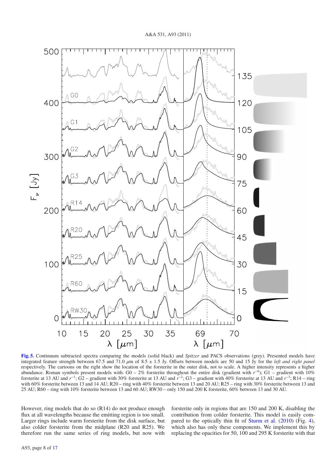

**[Fig. 5.](http://dexter.edpsciences.org/applet.php?DOI=10.1051/0004-6361/201116770&pdf_id=5)** Continuum subtracted spectra comparing the models (solid black) and *Spitzer* and PACS observations (grey). Presented models have integrated feature strength between 67.5 and 71.0 μm of 8.5 ± 1.5 Jy. Offsets between models are 50 and 15 Jy for the *left and right panel* respectively. The cartoons on the right show the location of the forsterite in the outer disk, not to scale. A higher intensity represents a higher abundance. Roman symbols present models with: G0 – 2% forsterite throughout the entire disk (gradient with *r*−0); G1 – gradient with 10% forsterite at 13 AU and *r*−1; G2 – gradient with 30% forsterite at 13 AU and *r*−2; G3 – gradient with 40% forsterite at 13 AU and *r*−3; R14 – ring with 60% forsterite between 13 and 14 AU; R20 – ring with 40% forsterite between 13 and 20 AU; R25 – ring with 30% forsterite between 13 and 25 AU; R60 – ring with 10% forsterite between 13 and 60 AU; RW30 – only 150 and 200 K forsterite, 60% between 13 and 30 AU.

However, ring models that do so (R14) do not produce enough flux at all wavelengths because the emitting region is too small. Larger rings include warm forsterite from the disk surface, but also colder forsterite from the midplane (R20 and R25). We therefore run the same series of ring models, but now with

forsterite only in regions that are 150 and 200 K, disabling the contribution from colder forsterite. This model is easily compared to the optically thin fit of Sturm et al. (2010) (Fig. 4), which also has only these components. We implement this by replacing the opacities for 50, 100 and 295 K forsterite with that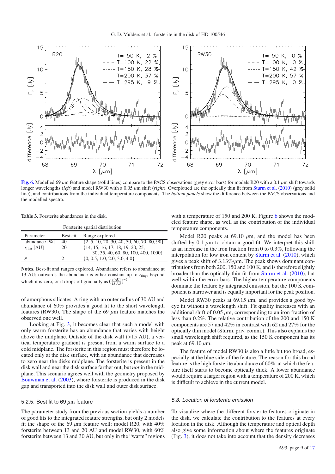

**[Fig. 6.](http://dexter.edpsciences.org/applet.php?DOI=10.1051/0004-6361/201116770&pdf_id=6)** Modelled 69  $\mu$ m feature shape (solid lines) compare to the PACS observations (grey error bars) for models R20 with a 0.1  $\mu$ m shift towards longer wavelengths (*left*) and model RW30 with a 0.05 μm shift (*right*). Overplotted are the optically thin fit from Sturm et al. (2010) (grey solid line), and contributions from the individual temperature components. The *bottom panels* show the difference between the PACS observations and the modelled spectra.

**Table 3.** Forsterite abundances in the disk.

| Forsterite spatial distribution. |          |                                                |  |  |  |
|----------------------------------|----------|------------------------------------------------|--|--|--|
| Parameter                        | Best-fit | Range explored                                 |  |  |  |
| abundance $\lceil \% \rceil$     | 40       | $\{2, 5, 10, 20, 30, 40, 50, 60, 70, 80, 90\}$ |  |  |  |
| $r_{\rm ring}$ [AU]              | 20       | $\{14, 15, 16, 17, 18, 19, 20, 25,$            |  |  |  |
|                                  |          | 30, 35, 40, 60, 80, 100, 400, 1000}            |  |  |  |
|                                  |          | $\{0, 0.5, 1.0, 2.0, 3.0, 4.0\}$               |  |  |  |
|                                  |          |                                                |  |  |  |

**Notes.** Best-fit and ranges explored. Abundance refers to abundance at 13 AU; outwards the abundance is either constant up to  $r_{\text{ring}}$ , beyond which it is zero, or it drops off gradually as  $\left(\frac{r[A\text{U}]}{13 \text{ AU}}\right)^{-\xi}$ .

of amorphous silicates. A ring with an outer radius of 30 AU and abundance of 60% provides a good fit to the short wavelength features (RW30). The shape of the 69  $\mu$ m feature matches the observed one well.

Looking at Fig. 3, it becomes clear that such a model with only warm forsterite has an abundance that varies with height above the midplane. Outside of the disk wall (>15 AU), a vertical temperature gradient is present from a warm surface to a cold midplane. The forsterite in this region must therefore be located only at the disk surface, with an abundance that decreases to zero near the disks midplane. The forsterite is present in the disk wall and near the disk surface farther out, but *not* in the midplane. This scenario agrees well with the geometry proposed by Bouwman et al. (2003), where forsterite is produced in the disk gap and transported into the disk wall and outer disk surface.

#### 5.2.5. Best fit to 69  $\mu$ m feature

The parameter study from the previous section yields a number of good fits to the integrated feature strengths, but only 2 models fit the shape of the 69  $\mu$ m feature well: model R20, with 40% forsterite between 13 and 20 AU and model RW30, with 60% forsterite between 13 and 30 AU, but only in the "warm" regions with a temperature of 150 and 200 K. Figure 6 shows the modeled feature shape, as well as the contribution of the individual temperature components.

Model R20 peaks at 69.10  $\mu$ m, and the model has been shifted by 0.1  $\mu$ m to obtain a good fit. We interpret this shift as an increase in the iron fraction from 0 to 0.3%, following the interpolation for low iron content by Sturm et al. (2010), which gives a peak shift of  $3.13\%/ \mu m$ . The peak shows dominant contributions from both 200, 150 and 100 K, and is therefore slightly broader than the optically thin fit from Sturm et al. (2010), but well within the error bars. The higher temperature components dominate the feature by integrated emission, but the 100 K component is narrower and is equally important for the peak position.

Model RW30 peaks at 69.15  $\mu$ m, and provides a good byeye fit without a wavelength shift. Fit quality increases with an additional shift of  $0.05 \mu m$ , corresponding to an iron fraction of less than 0.2%. The relative contribution of the 200 and 150 K components are 57 and 42% in contrast with 62 and 27% for the optically thin model (Sturm, priv. comm.). This also explains the small wavelength shift required, as the 150 K component has its peak at 69.10  $\mu$ m.

The feature of model RW30 is also a little bit too broad, especially at the blue side of the feature. The reason for this broad feature is the high forsterite abundance of 60%, at which the feature itself starts to become optically thick. A lower abundance would require a larger region with a temperature of 200 K, which is difficult to achieve in the current model.

#### 5.3. Location of forsterite emission

To visualize where the different forsterite features originate in the disk, we calculate the contribution to the features at every location in the disk. Although the temperature and optical depth also give some information about where the features originate (Fig. 3), it does not take into account that the density decreases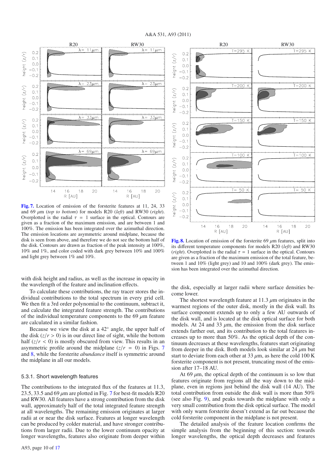

**[Fig. 7.](http://dexter.edpsciences.org/applet.php?DOI=10.1051/0004-6361/201116770&pdf_id=7)** Location of emission of the forsterite features at 11, 24, 33 and 69 μm (*top to bottom*) for models R20 (*left*) and RW30 (*right*). Overplotted is the radial  $\tau = 1$  surface in the optical. Contours are given as a fraction of the maximum emission, and are between 1 and 100%. The emission has been integrated over the azimuthal direction. The emission locations are asymmetric around midplane, because the disk is seen from above, and therefore we do not see the bottom half of the disk. Contours are drawn as fraction of the peak intensity at 100%, 10% and 1%, and color coded with dark grey between 10% and 100% and light grey between 1% and 10%.

with disk height and radius, as well as the increase in opacity in the wavelength of the feature and inclination effects.

To calculate these contributions, the ray tracer stores the individual contributions to the total spectrum in every grid cell. We then fit a 3rd order polynomial to the continuum, subtract it, and calculate the integrated feature strength. The contributions of the individual temperature components to the 69  $\mu$ m feature are calculated in a similar fashion.

Because we view the disk at a 42◦ angle, the upper half of the disk  $(z/r > 0)$  is in our direct line of sight, while the bottom half  $(z/r < 0)$  is mostly obscured from view. This results in an asymmetric profile around the midplane  $(z/r = 0)$  in Figs. 7 and 8, while the forsterite *abundance* itself is symmetric around the midplane in all our models.

#### 5.3.1. Short wavelength features

The contributions to the integrated flux of the features at 11.3, 23.5, 33.5 and 69  $\mu$ m are plotted in Fig. 7 for best-fit models R20 and RW30. All features have a strong contribution from the disk wall, approximately half of the total integrated feature strength at all wavelengths. The remaining emission originates at larger radii at or near the disk surface. Features at longer wavelength can be produced by colder material, and have stronger contributions from larger radii. Due to the lower continuum opacity at longer wavelengths, features also originate from deeper within



**[Fig. 8.](http://dexter.edpsciences.org/applet.php?DOI=10.1051/0004-6361/201116770&pdf_id=8)** Location of emission of the forsterite 69  $\mu$ m features, split into its different temperature components for models R20 (*left*) and RW30 (*right*). Overplotted is the radial  $\tau = 1$  surface in the optical. Contours are given as a fraction of the maximum emission of the total feature, between 1 and 10% (light grey) and 10 and 100% (dark grey). The emission has been integrated over the azimuthal direction.

the disk, especially at larger radii where surface densities become lower.

The shortest wavelength feature at 11.3  $\mu$ m originates in the warmest regions of the outer disk, mostly in the disk wall. Its surface component extends up to only a few AU outwards of the disk wall, and is located at the disk optical surface for both models. At 24 and 33  $\mu$ m, the emission from the disk surface extends farther out, and its contribution to the total features increases up to more than 50%. As the optical depth of the continuum decreases at these wavelengths, features start originating from deeper in the disk. Both models look similar at  $24 \mu m$  but start to deviate from each other at  $33 \mu$ m, as here the cold 100 K forsterite component is not present, truncating most of the emission after 17–18 AU.

At  $69 \mu m$ , the optical depth of the continuum is so low that features originate from regions all the way down to the midplane, even in regions just behind the disk wall (14 AU). The total contribution from outside the disk wall is more than 50% (see also Fig. 9), and peaks towards the midplane with only a very small contribution from the disk optical surface. The model with only warm forsterite doesn't extend as far out because the cold forsterite component in the midplane is not present.

The detailed analysis of the feature location confirms the simple analysis from the beginning of this section: towards longer wavelengths, the optical depth decreases and features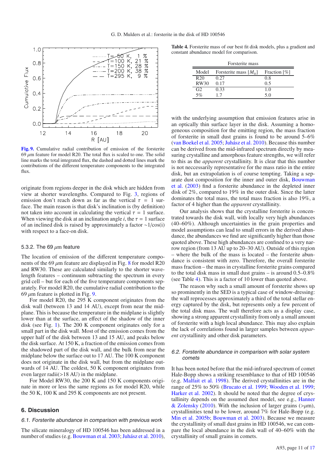

**[Fig. 9.](http://dexter.edpsciences.org/applet.php?DOI=10.1051/0004-6361/201116770&pdf_id=9)** Cumulative radial contribution of emission of the forsterite 69  $\mu$ m feature for model R20. The total flux is scaled to one. The solid line marks the total integrated flux, the dashed and dotted lines mark the contributions of the different temperature components to the integrated flux.

originate from regions deeper in the disk which are hidden from view at shorter wavelengths. Compared to Fig. 3, regions of emission don't reach down as far as the vertical  $\tau = 1$  surface. The main reason is that disk's inclination is (by definition) not taken into account in calculating the vertical  $\tau = 1$  surface. When viewing the disk at an inclination angle *i*, the  $\tau = 1$  surface of an inclined disk is raised by approximately a factor ∼1/cos(i) with respect to a face-on disk.

#### 5.3.2. The 69  $\mu$ m feature

The location of emission of the different temperature components of the 69  $\mu$ m feature are displayed in Fig. 8 for model R20 and RW30. These are calculated similarly to the shorter wavelength features – continuum subtracting the spectrum in every grid cell – but for each of the five temperature components separately. For model R20, the cumulative radial contribution to the 69  $\mu$ m feature is plotted in Fig. 9.

For model R20, the 295 K component originates from the disk wall (between 13 and 14 AU), except from near the midplane. This is because the temperature in the midplane is slightly lower than at the surface, an effect of the shadow of the inner disk (see Fig. 1). The 200 K component originates only for a small part in the disk wall. Most of the emission comes from the upper half of the disk between 13 and 15 AU, and peaks below the disk surface. At 150 K, a fraction of the emission comes from the shadowed part of the disk wall, and the bulk from near the midplane below the surface out to 17 AU. The 100 K component does not originate in the disk wall, but from the midplane outwards of 14 AU. The coldest, 50 K component originates from even larger radii(>18 AU) in the midplane.

For Model RW30, the 200 K and 150 K components originate in more or less the same regions as for model R20, while the 50 K, 100 K and 295 K components are not present.

#### **6. Discussion**

#### 6.1. Forsterite abundance in comparison with previous work

The silicate mineralogy of HD 100546 has been addressed in a number of studies (e.g. Bouwman et al. 2003; Juhász et al. 2010),

**Table 4.** Forsterite mass of our best fit disk models, plus a gradient and constant abundance model for comparison.

| Forsterite mass |                                                  |                             |  |  |
|-----------------|--------------------------------------------------|-----------------------------|--|--|
| Model           | Forsterite mass $[M_{\rm \scriptscriptstyle n}]$ | Fraction $\lceil \% \rceil$ |  |  |
| R <sub>20</sub> | 0.27                                             | 0.8                         |  |  |
| RW30            | 0.17                                             | 0.5                         |  |  |
| G <sub>2</sub>  | 0.33                                             | 1.0                         |  |  |
| 5%              | 17                                               | 5.0                         |  |  |

with the underlying assumption that emission features arise in an optically thin surface layer in the disk. Assuming a homogeneous composition for the emitting region, the mass fraction of forsterite in small dust grains is found to be around 5–6% (van Boekel et al. 2005; Juhász et al. 2010). Because this number can be derived from the mid-infrared spectrum directly by measuring crystalline and amorphous feature strengths, we will refer to this as the *apparent* crystallinity. It is clear that this number is not neccessarily representative for the mass ratio in the entire disk, but an extrapolation is of course tempting. Taking a separate dust composition for the inner and outer disk, Bouwman et al. (2003) find a forsterite abundance in the depleted inner disk of 2%, compared to 19% in the outer disk. Since the latter dominates the total mass, the total mass fraction is also 19%, a factor of 4 higher than the *apparent* crystallinity.

Our analysis shows that the crystalline forsterite is concentrated towards the disk wall, with locally very high abundances (40–60%). Although uncertainties in the grain properties and model assumptions can lead to small errors in the derived abundance, the abundances we find are significantly higher than those quoted above. These high abundances are confined to a very narrow region (from 13 AU up to 20–30 AU). Outside of this region – where the bulk of the mass is located – the forsterite abundance is consistent with zero. Therefore, the overall forsterite mass fraction – the mass in crystalline forsterite grains compared to the total disk mass in small dust grains – is around 0.5–0.8% (see Table 4). This is a factor of 10 lower than quoted above.

The reason why such a small amount of forsterite shows up so prominently in the SED is a typical case of window-dressing: the wall reprocesses approximately a third of the total stellar energy captured by the disk, but represents only a few percent of the total disk mass. The wall therefore acts as a display case, showing a strong apparent crystallinity from only a small amount of forsterite with a high local abundance. This may also explain the lack of correlations found in larger samples between *apparent* crystallinity and other disk parameters.

#### 6.2. Forsterite abundance in comparison with solar system comets

It has been noted before that the mid-infrared spectrum of comet Hale-Bopp shows a striking resemblance to that of HD 100546 (e.g. Malfait et al. 1998). The derived crystallinities are in the range of 25% to 50% (Brucato et al. 1999; Wooden et al. 1999; Harker et al. 2002). It should be noted that the degree of crystallinity depends on the assumed dust model, see e.g., Hanner & Zolensky (2010). With the inclusion of larger grains ( $>\mu$ m), crystallinities tend to be lower, around 7% for Hale-Bopp (e.g. Min et al. 2005b; Bouwman et al. 2003). Because we measure the crystallinity of small dust grains in HD 100546, we can compare the local abundance in the disk wall of 40–60% with the crystallinity of small grains in comets.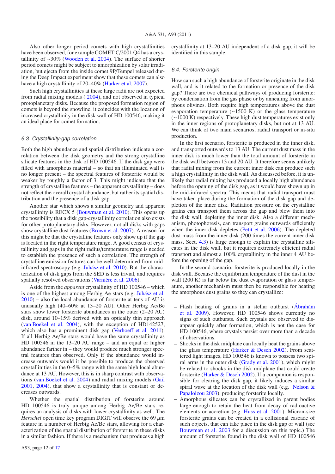Also other longer period comets with high crystallinities have been observed, for example COMET C/2001 Q4 has a crystallinity of ∼30% (Wooden et al. 2004). The surface of shorter period comets might be subject to amorphization by solar irradiation, but ejecta from the inside comet 9P/Tempel released during the Deep Impact experiment show that these comets can also have a high crystallinity of 20–40% (Harker et al. 2007).

Such high crystallinities at these large radii are not expected from radial mixing models ( 2004), and not observed in typical protoplanetary disks. Because the proposed formation region of comets is beyond the snowline, it coincides with the location of increased crystallinity in the disk wall of HD 100546, making it an ideal place for comet formation.

#### 6.3. Crystallinity-gap correlation

Both the high abundance and spatial distribution indicate a correlation between the disk geometry and the strong crystalline silicate features in the disk of HD 100546. If the disk gap were filled with amorphous material – so that an illuminated wall is no longer present – the spectral features of forsterite would be weaker by roughly a factor of 3. This might indicate that the strength of crystalline features – the apparent crystallinity – does not reflect the overall crystal abundance, but rather its spatial distribution and the presence of a disk gap.

Another star which shows a similar geometry and apparent crystallinity is RECX 5 (Bouwman et al. 2010). This opens up the possibility that a disk gap-crystallinity correlation also exists for other protoplanetary disks. However, not all disks with gaps show crystalline dust features (Brown et al. 2007). A reason for this might be that the crystalline features only show up if the gap is located in the right temperature range. A good census of crystallinity and gaps in the right radius/temperature range is needed to establish the presence of such a correlation. The strength of crystalline emission features can be well determined from midinfrared spectroscopy (e.g. Juhász et al. 2010). But the characterization of disk gaps from the SED is less trivial, and requires spatially resolved observations (Varnière et al. 2006).

Aside from the *apparent* crystallinity of HD 100546 – which is one of the highest among Herbig Ae stars (e.g. Juhász et al. 2010) – also the local abundance of forsterite at tens of AU is unusually high (40–60% at 13–20 AU). Other Herbig Ae/Be stars show lower forsterite abundances in the outer (2–20 AU) disk, around 10–15% derived with an optically thin approach (van Boekel et al. 2004), with the exception of HD142527, which also has a prominent disk gap (Verhoeff et al. 2011). If all Herbig Ae/Be stars would have the same crystallinity as HD 100546 in the 13–20 AU range – and an equal or higher abundance farther in – they would produce much stronger spectral features than observed. Only if the abundance would increase outwards would it be possible to produce the observed crystallinities in the 0–5% range with the same high local abundance at 13 AU. However, this is in sharp contrast with observations (van Boekel et al. 2004) and radial mixing models (Gail 2001, 2004), that show a crystallinity that is constant or decreases outwards.

Whether the spatial distribution of forsterite around HD 100546 is truly unique among Herbig Ae/Be stars requires an analysis of disks with lower crystallinity as well. The *Herschel* open time key program DIGIT will observe the 69  $\mu$ m feature in a number of Herbig Ae/Be stars, allowing for a characterization of the spatial distribution of forsterite in these disks in a similar fashion. If there is a mechanism that produces a high crystallinity at 13–20 AU independent of a disk gap, it will be identified in this sample.

#### 6.4. Forsterite origin

How can such a high abundance of forsterite originate in the disk wall, and is it related to the formation or presence of the disk gap? There are two chemical pathways of producing forsterite: by condensation from the gas phase or by annealing from amorphous olivines. Both require high temperatures above the dust evaporation temperature (∼1500 K) or the glass temperature (∼1000 K) respectively. These high dust temperatures exist only in the inner regions of protoplanetary disks, but not at 13 AU. We can think of two main scenarios, radial transport or in-situ production.

In the first scenario, forsterite is produced in the inner disk, and transported outwards to 13 AU. The current dust mass in the inner disk is much lower than the total amount of forsterite in the disk wall between 13 and 20 AU. It therefore seems unlikely that radial mixing from the current inner disk can produce such a high crystallinity in the disk wall. As discussed before, it is unlikely that radial mixing has produced a locally high abundance before the opening of the disk gap, as it would have shown up in the mid-infrared spectra. This means that radial transport must have taken place during the formation of the disk gap and depletion of the inner disk. Radiation pressure on the crystalline grains can transport them across the gap and blow them into the disk wall, depleting the inner disk. Also a different mechanism, photophoresis, can transport grains outwards efficiently when the inner disk depletes (Petit et al. 2006). The depleted dust mass from the inner disk (200 times the current inner disk mass, Sect. 4.3) is large enough to explain the crystalline silicates in the disk wall, but it requires extremely efficient radial transport and almost a 100% crystallinity in the inner 4 AU before the opening of the gap.

In the second scenario, forsterite is produced locally in the disk wall. Because the equilibrium temperature of the dust in the wall (200 K) is far below the dust evaporation or glass temperature, another mechanism must then be responsible for heating the amorphous dust grains so they can crystallize:

- **–** Flash heating of grains in a stellar outburst (Ábrahám et al. 2009). However, HD 100546 shows currently no signs of such outbursts. Such crystals are observed to disappear quickly after formation, which is not the case for HD 100546, where crystals persist over more than a decade of observations.
- **–** Shocks in the disk midplane can locally heat the grains above the glass temperature (Harker  $\&$  Desch 2002). From scattered light images, HD 100546 is known to possess two spiral arms in the outer disk (Grady et al. 2001), which might be related to shocks in the disk midplane that could create forsterite (Harker & Desch 2002). If a companion is responsible for clearing the disk gap, it likely induces a similar spiral wave at the location of the disk wall (e.g. Nelson  $\&$ Papaloizou 2003), producing forsterite locally.
- **–** Amorphous silicates can be crystallized in parent bodies large enough to retain the heat from decay of radioactive elements or accretion (e.g. Huss et al. 2001). Micron-size forsterite grains can be created in a collisional cascade of such objects, that can take place in the disk gap or wall (see Bouwman et al. 2003 for a discussion on this topic.) The amount of forsterite found in the disk wall of HD 100546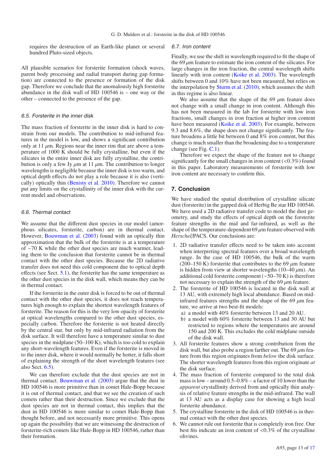requires the destruction of an Earth-like planet or several hundred Pluto-sized objects.

All plausible scenarios for forsterite formation (shock waves, parent body processing and radial transport during gap formation) are connected to the presence or formation of the disk gap. Therefore we conclude that the anomalously high forsterite abundance in the disk wall of HD 100546 is – one way or the other – connected to the presence of the gap.

## 6.5. Forsterite in the inner disk

The mass fraction of forsterite in the inner disk is hard to constrain from our models. The contribution to mid-infrared features in the model is low, and shows a significant contribution only at 11  $\mu$ m. Regions near the inner rim that are above a temperature of 1000 K should be fully crystalline, but even if the silicates in the entire inner disk are fully crystalline, the contribution is only a few Jy  $\mu$ m at 11  $\mu$ m. The contribution to longer wavelengths is negligible because the inner disk is too warm, and optical depth effects do not play a role because it is also (vertically) optically thin (Benisty et al. 2010). Therefore we cannot put any limits on the crystallinity of the inner disk with the current model and observations.

## 6.6. Thermal contact

We assume that the different dust species in our model (amorphous silicates, forsterite, carbon) are in thermal contact. However, Bouwman et al. (2003) found with an optically thin approximation that the bulk of the forsterite is at a temperature of ∼70 K while the other dust species are much warmer, leading them to the conclusion that forsterite cannot be in thermal contact with the other dust species. Because the 2D radiative transfer does not need this cold component due to optical depth effects (see Sect. 5.1), the forsterite has the same temperature as the other dust species in the disk wall, which means they can be in thermal contact.

If the forsterite in the outer disk is forced to be out of thermal contact with the other dust species, it does not reach temperatures high enough to explain the shortest wavelength features of forsterite. The reason for this is the very low opacity of forsterite at optical wavelengths compared to the other dust species, especially carbon. Therefore the forsterite is not heated directly by the central star, but only by mid-infrared radiation from the disk surface. It will therefore have a temperature similar to dust species in the midplane  $(50-100 \text{ K})$ , which is too cold to explain any short-wavelength features. Even if the forsterite is moved in to the inner disk, where it would normally be hotter, it falls short of explaining the strength of the short wavelength features (see also Sect. 6.5).

We can therefore exclude that the dust species are not in thermal contact. Bouwman et al. (2003) argue that the dust in HD 100546 is more primitive than in comet Hale-Bopp because it is out of thermal contact, and that we see the creation of such comets rather than their destruction. Since we exclude that the dust species are not in thermal contact, this implies that the dust in HD 100546 is more similar to comet Hale-Bopp than thought before, and not necessarily more primitive. This opens up again the possibility that we are witnessing the destruction of forsterite-rich comets like Hale-Bopp in HD 100546, rather than their formation.

#### 6.7. Iron content

Finally, we use the shift in wavelength required to fit the shape of the 69  $\mu$ m feature to estimate the iron content of the silicates. For large changes in the iron fraction, the central wavelength shifts linearly with iron content (Koike et al. 2003). The wavelength shifts between 0 and 10% have not been measured, but relies on the interpolation by Sturm et al. (2010), which assumes the shift in this regime is also linear.

We also assume that the shape of the 69  $\mu$ m feature does not change with a small change in iron content. Although this has not been measured in the lab for forsterite with low iron fractions, small changes in iron fraction at higher iron content have been measured (Koike et al. 2003). For example, between 9.3 and 8.6%, the shape does not change significantly. The feature broadens a little bit between 0 and 8% iron content, but this change is much smaller than the broadening due to a temperature change (see Fig. C.1).

Therefore we expect the shape of the feature not to change significantly for the small changes in iron content  $(<0.3\%)$  found in this paper. Laboratory measurements of forsterite with low iron content are necessary to confirm this.

#### **7. Conclusion**

We have studied the spatial distribution of crystalline silicate dust (forsterite) in the gapped disk of Herbig Be star HD 100546. We have used a 2D radiative transfer code to model the dust geometry, and study the effects of optical depth on the forsterite feature strengths in the mid and far-infrared, as well as the shape of the temperature-dependent  $69 \mu m$  feature observed with *Herschel*/PACS. Our conclusions are:

- 1. 2D radiative transfer effects need to be taken into account when interpreting spectral features over a broad wavelength range. In the case of HD 100546, the bulk of the warm (200–150 K) forsterite that contributes to the 69  $\mu$ m feature is hidden from view at shorter wavelengths (10–40  $\mu$ m). An additional cold forsterite component (∼50–70 K) is therefore not necessary to explain the strength of the 69  $\mu$ m feature.
- 2. The forsterite of HD 100546 is located in the disk wall at 13 AU, with extremely high local abundance. Based on midinfrared features strengths and the shape of the 69  $\mu$ m feature, we arrive at two best-fit models:
	- a) a model with 40% forsterite between 13 and 20 AU.
	- b) a model with 60% forsterite between 13 and 30 AU but restricted to regions where the temperatures are around 150 and 200 K. This excludes the cold midplane outside of the disk wall.
- 3. All forsterite features show a strong contribution from the disk wall, but also probe a region farther out. The 69  $\mu$ m feature from this region originates from *below* the disk surface. The shorter wavelength features from this region originate *at* the disk surface.
- 4. The mass fraction of forsterite compared to the total disk mass is low – around 0.5–0.8% – a factor of 10 lower than the *apparent* crystallinity derived from and optically thin analysis of relative feature strengths in the mid-infrared. The wall at 13 AU acts as a display case for showing a high local forsterite abundance.
- 5. The crystalline forsterite in the disk of HD 100546 is in thermal contact with the other dust species.
- 6. We cannot rule out forsterite that is completely iron free. Our best fits indicate an iron content of <0.3% of the crystalline olivines.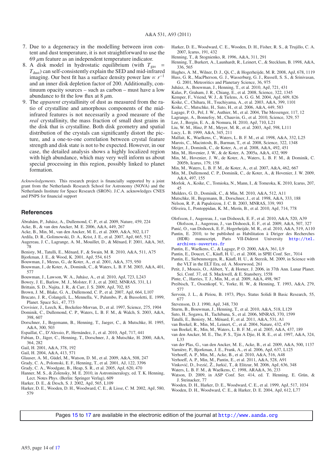- 7. Due to a degeneracy in the modelling between iron content and dust temperature, it is not straightforward to use the  $69 \mu m$  feature as an independent temperature indicator.
- 8. A disk model in hydrostatic equilibrium (with  $T_{gas}$  =  $T<sub>dist</sub>$ ) can self-consistently explain the SED and mid-infrared imaging. Our best fit has a surface density power law  $\propto r^{-1}$ and an inner disk depletion factor of 200. Additionally, continuum opacity sources – such as carbon – must have a low abundance to fit the low flux at  $8 \mu m$ .
- 9. The *apparent* crystallinity of dust as measured from the ratio of crystalline and amorphous components of the midinfrared features is not necessarily a good measure of the *real* crystallinity, the mass fraction of small dust grains in the disk that is crystalline. Both disk geometry and spatial distribution of the crystals can significantly distort the picture, and a one-to-one correlation between crystal feature strength and disk state is not to be expected. However, in our case, the detailed analysis shows a highly localized region with high abundance, which may very well inform us about special processing in this region, possibly linked to planet formation.

*Acknowledgements.* This research project is financially supported by a joint grant from the Netherlands Research School for Astronomy (NOVA) and the Netherlands Institute for Space Research (SRON). J.C.A. acknowledges CNES and PNPS for financial support

### **References**

- Ábrahám, P., Juhász, A., Dullemond, C. P., et al. 2009, Nature, 459, 224
- Acke, B., & van den Ancker, M. E. 2006, A&A, 449, 267
- Acke, B., Min, M., van den Ancker, M. E., et al. 2009, A&A, 502, L17
- Ardila, D. R., Golimowski, D. A., Krist, J. E., et al. 2007, ApJ, 665, 512
- Augereau, J. C., Lagrange, A. M., Mouillet, D., & Ménard, F. 2001, A&A, 365, 78
- Benisty, M., Tatulli, E., Ménard, F., & Swain, M. R. 2010, A&A, 511, A75
- Bjorkman, J. E., & Wood, K. 2001, ApJ, 554, 615
- Bouwman, J., Meeus, G., de Koter, A., et al. 2001, A&A, 375, 950
- Bouwman, J., de Koter, A., Dominik, C., & Waters, L. B. F. M. 2003, A&A, 401, 577
- Bouwman, J., Lawson, W. A., Juhász, A., et al. 2010, ApJ, 723, L243
- Bowey, J. E., Barlow, M. J., Molster, F. J., et al. 2002, MNRAS, 331, L1
- Brittain, S. D., Najita, J. R., & Carr, J. S. 2009, ApJ, 702, 85
- Brown, J. M., Blake, G. A., Dullemond, C. P., et al. 2007, ApJ, 664, L107
- Brucato, J. R., Colangeli, L., Mennella, V., Palumbo, P., & Bussoletti, E. 1999, Planet. Space Sci., 47, 773
- Crovisier, J., Leech, K., Bockelee-Morvan, D., et al. 1997, Science, 275, 1904
- Dominik, C., Dullemond, C. P., Waters, L. B. F. M., & Walch, S. 2003, A&A,
- 398, 607 Dorschner, J., Begemann, B., Henning, T., Jaeger, C., & Mutschke, H. 1995, A&A, 300, 503
- Espaillat, C., D'Alessio, P., Hernández, J., et al. 2010, ApJ, 717, 441
- Fabian, D., Jäger, C., Henning, T., Dorschner, J., & Mutschke, H. 2000, A&A, 364, 282
- Gail, H. 2001, A&A, 378, 192
- Gail, H. 2004, A&A, 413, 571
- Glauser, A. M., Güdel, M., Watson, D. M., et al. 2009, A&A, 508, 247
- Grady, C. A., Polomski, E. F., Henning, T., et al. 2001, AJ, 122, 3396
- Grady, C. A., Woodgate, B., Heap, S. R., et al. 2005, ApJ, 620, 470
- Hanner, M. S., & Zolensky, M. E. 2010, in Astromineralogy, ed. T. K. Henning, Lect. Notes Phys. (Berlin: Springer Verlag), 609
- Harker, D. E., & Desch, S. J. 2002, ApJ, 565, L109
- Harker, D. E., Wooden, D. H., Woodward, C. E., & Lisse, C. M. 2002, ApJ, 580, 579
- Harker, D. E., Woodward, C. E., Wooden, D. H., Fisher, R. S., & Trujillo, C. A. 2007, Icarus, 191, 432
- Henning, T., & Stognienko, R. 1996, A&A, 311, 291
- Henning, T., Burkert, A., Launhardt, R., Leinert, C., & Stecklum, B. 1998, A&A, 336, 565
- Hughes, A. M., Wilner, D. J., Qi, C., & Hogerheijde, M. R. 2008, ApJ, 678, 1119 Huss, G. R., MacPherson, G. J., Wasserburg, G. J., Russell, S. S., & Srinivasan, G. 2001, Meteoritics and Planetary Science, 36, 975
- Juhász, A., Bouwman, J., Henning, T., et al. 2010, ApJ, 721, 431
- Kalas, P., Graham, J. R., Chiang, E., et al. 2008, Science, 322, 1345
- Kemper, F., Vriend, W. J., & Tielens, A. G. G. M. 2004, ApJ, 609, 826
- Koike, C., Chihara, H., Tsuchiyama, A., et al. 2003, A&A, 399, 1101
- Koike, C., Mutschke, H., Suto, H., et al. 2006, A&A, 449, 583
- Lagage, P. O., Pel, J. W., Authier, M., et al. 2004, The Messenger, 117, 12
- Lagrange, A., Bonnefoy, M., Chauvin, G., et al. 2010, Science, 329, 57
- 
- Lee, J., Bergin, E. A., & Nomura, H. 2010, ApJ, 710, L21
- Liu, W. M., Hinz, P. M., Meyer, M. R., et al. 2003, ApJ, 598, L111
- Lucy, L. B. 1999, A&A, 345, 211
- Malfait, K., Waelkens, C., Waters, L. B. F. M., et al. 1998, A&A, 332, L25
- Marois, C., Macintosh, B., Barman, T., et al. 2008, Science, 322, 1348
- Meijer, J., Dominik, C., de Koter, A., et al. 2008, A&A, 492, 451
- Min, M., Hovenier, J. W., & de Koter, A. 2005a, A&A, 432, 909
- Min, M., Hovenier, J. W., de Koter, A., Waters, L. B. F. M., & Dominik, C. 2005b, Icarus, 179, 158
	- Min, M., Waters, L. B. F. M., de Koter, A., et al. 2007, A&A, 462, 667
	- Min, M., Dullemond, C. P., Dominik, C., de Koter, A., & Hovenier, J. W. 2009, A&A, 497, 155
	- Morlok, A., Koike, C., Tomioka, N., Mann, I., & Tomeoka, K. 2010, Icarus, 207, 45
	- Mulders, G. D., Dominik, C., & Min, M. 2010, A&A, 512, A11
	- Mutschke, H., Begemann, B., Dorschner, J., et al. 1998, A&A, 333, 188
	- Nelson, R. P., & Papaloizou, J. C. B. 2003, MNRAS, 339, 993
	- Oliveira, I., Pontoppidan, K. M., Merín, B., et al. 2010, ApJ, 714, 778
	- Olofsson, J., Augereau, J., van Dishoeck, E. F., et al. 2010, A&A, 520, A39 Olofsson, J., Augereau, J., van Dishoeck, E. F., et al. 2009, A&A, 507, 327
	- Panic, O., van Dishoeck, E. F., Hogerheijde, M. R., et al. 2010, A&A, 519, A110 ´
	- Pantin, E. 2010, to be published as Habilitation à Diriger des Recherches
	- (HDR) manuscript, Paris VII-Diderot University [http://tel.](http://tel.archives-ouvertes.fr) [archives-ouvertes.fr](http://tel.archives-ouvertes.fr)
	- Pantin, E., Waelkens, C., & Lagage, P. O. 2000, A&A, 361, L9
	- Pantin, E., Doucet, C., Käufl, H. U., et al. 2008, in SPIE Conf. Ser., 7014
	- Pantin, E., Siebenmorgen, R., Käufl, H. U., & Sterzik, M. 2009, in Science with the VLT in the ELT Era, ed. A. Moorwood, 261
	- Petit, J., Mousis, O., Alibert, Y., & Horner, J. 2006, in 37th Ann. Lunar Planet. Sci. Conf. 37, ed. S. Mackwell, & E. Stansbery, 1558
	- Pinte, C., Harries, T. J., Min, M., et al. 2009, A&A, 498, 967
	- Preibisch, T., Ossenkopf, V., Yorke, H. W., & Henning, T. 1993, A&A, 279, 577
	- Servoin, J. L., & Piriou, B. 1973, Phys. Status Solidi B Basic Research, 55, 677
	- Stevenson, D. J. 1990, ApJ, 348, 730
	- Sturm, B., Bouwman, J., Henning, T., et al. 2010, A&A, 518, L129
	- Suto, H., Sogawa, H., Tachibana, S., et al. 2006, MNRAS, 370, 1599
	- Tatulli, E., Benisty, M., Ménard, F., et al. 2011, A&A, 531, A1
	- van Boekel, R., Min, M., Leinert, C., et al. 2004, Nature, 432, 479
	- van Boekel, R., Min, M., Waters, L. B. F. M., et al. 2005, A&A, 437, 189
	- van den Ancker, M. E., The, P. S., Tjin A Djie, H. R. E., et al. 1997, A&A, 324, L33
	- van der Plas, G., van den Ancker, M. E., Acke, B., et al. 2009, A&A, 500, 1137
	- Varnière, P., Bjorkman, J. E., Frank, A., et al. 2006, ApJ, 637, L125
	- Verhoeff, A. P., Min, M., Acke, B., et al. 2010, A&A, 516, A48
	- Verhoeff, A. P., Min, M., Pantin, E., et al. 2011, A&A, 528, A91
	- Vinković, D., Ivezić, Ž., Jurkić, T., & Elitzur, M. 2006, ApJ, 636, 348
	- Waters, L. B. F. M., & Waelkens, C. 1998, ARA&A, 36, 233
	- Watson, D. 2009, in ASP Conf. Ser. 414, ed. T. Henning, E. Grün, &
	- J. Steinacker, 77
	- Wooden, D. H., Harker, D. E., Woodward, C. E., et al. 1999, ApJ, 517, 1034
	- Wooden, D. H., Woodward, C. E., & Harker, D. E. 2004, ApJ, 612, L77

Pages 15 to 17 are available in the electronic edition of the journal at <http://www.aanda.org>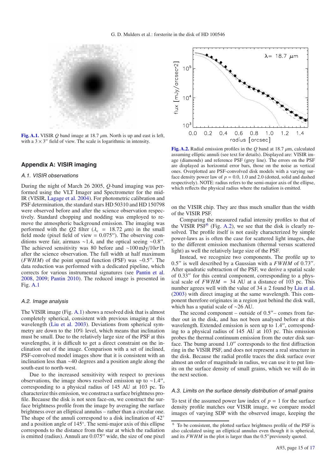

**[Fig. A.1.](http://dexter.edpsciences.org/applet.php?DOI=10.1051/0004-6361/201116770&pdf_id=10)** VISIR Q band image at 18.7  $\mu$ m. North is up and east is left, with a  $3 \times 3$ " field of view. The scale is logarithmic in intensity.

## **Appendix A: VISIR imaging**

#### A.1. VISIR observations

During the night of March 26 2005, *Q*-band imaging was performed using the VLT Imager and Spectrometer for the mid-IR (VISIR, Lagage et al. 2004). For photometric calibration and PSF determination, the standard stars HD 50310 and HD 150798 were observed before and after the science observation respectively. Standard chopping and nodding was employed to remove the atmospheric background emission. The imaging was performed with the  $Q2$  filter ( $\lambda_c$  = 18.72  $\mu$ m) in the small field mode (pixel field of view  $= 0.075$ "). The observing conditions were fair, airmass ∼1.4, and the optical seeing ∼0.8". The achieved sensitivity was 80 before and ~100 mJy/10 $\sigma$ 1h after the science observation. The full width at half maximum (*FWHM*) of the point spread function (PSF) was ∼0.5". The data reduction was performed with a dedicated pipeline, which corrects for various instrumental signatures (see Pantin et al. 2008, 2009; Pantin 2010). The reduced image is presented in Fig. A.1

#### A.2. Image analysis

The VISIR image (Fig. A.1) shows a resolved disk that is almost completely spherical, consistent with previous imaging at this wavelength (Liu et al. 2003). Deviations from spherical symmetry are down to the 10% level, which means that inclination must be small. Due to the relatively large size of the PSF at this wavelengths, it is difficult to get a direct constraint on the inclination out of the image. Comparison with a set of inclined, PSF-convolved model images show that it is consistent with an inclination less than ∼40 degrees and a position angle along the south-east to north-west.

Due to the increased sensitivity with respect to previous observations, the image shows resolved emission up to  $\sim$ 1.4", corresponding to a physical radius of 145 AU at 103 pc. To characterize this emission, we construct a surface brightness profile. Because the disk is not seen face-on, we construct the surface brightness profile from the image by averaging the surface brightness over an elliptical annulus – rather than a circular one. The shape of the annuli correspond to a disk inclination of 42<sup>°</sup> and a position angle of 145◦. The semi-major axis of this ellipse corresponds to the distance from the star at which the radiation is emitted (radius). Annuli are 0.075" wide, the size of one pixel



**[Fig. A.2.](http://dexter.edpsciences.org/applet.php?DOI=10.1051/0004-6361/201116770&pdf_id=11)** Radial emission profiles in the *Q* band at 18.7 μm, calculated assuming elliptic annuli (see text for details). Displayed are: VISIR image (diamonds) and reference PSF (grey line). The errors on the PSF are displayed as horizontal error bars, those on the noise as vertical ones. Overplotted are PSF-convolved disk models with a varying surface density power law of  $p = 0.0$ , 1.0 and 2.0 (dotted, solid and dashed respectively). NOTE: radius refers to the semi-major axis of the ellipse, which reflects the physical radius where the radiation is emitted.

on the VISIR chip. They are thus much smaller than the width of the VISIR PSF.

Comparing the measured radial intensity profiles to that of the VISIR  $PSF<sup>6</sup>$  (Fig. A.2), we see that the disk is clearly resolved. The profile itself is not easily characterized by simple power-laws as is often the case for scattered light images, due to the different emission mechanism (thermal versus scattered light) as well the relatively large size of the PSF.

Instead, we recognize two components. The profile up to 0.5" is well described by a Gaussian with a FWHM of 0.73". After quadratic subtraction of the PSF, we derive a spatial scale of 0.33" for this central component, corresponding to a physical scale of  $FWHM = 34$  AU at a distance of 103 pc. This number agrees well with the value of  $34 \pm 2$  found by Liu et al. (2003) with direct imaging at the same wavelength. This component therefore originates in a region just behind the disk wall, which has a spatial scale of ∼26 AU.

The second component – outside of  $0.5$ " – comes from farther out in the disk, and has not been analysed before at this wavelength. Extended emission is seen up to 1.4", corresponding to a physical radius of 145 AU at 103 pc. This emission probes the thermal continuum emission from the outer disk surface. The bump around 1.0" corresponds to the first diffraction ring in the VISIR PSF, and does not represent a real structure in the disk. Because the radial profile traces the disk surface over almost an order of magnitude in radius, we can use it to put limits on the surface density of small grains, which we will do in the next section.

#### A.3. Limits on the surface density distribution of small grains

To test if the assumed power law index of  $p = 1$  for the surface density profile matches our VISIR image, we compare model images of varying SDP with the observed image, keeping the

<sup>6</sup> To be consistent, the plotted surface brightness profile of the PSF is also calculated using an elliptical annulus even though it is spherical, and its *FWHM* in the plot is larger than the 0.5" previously quoted.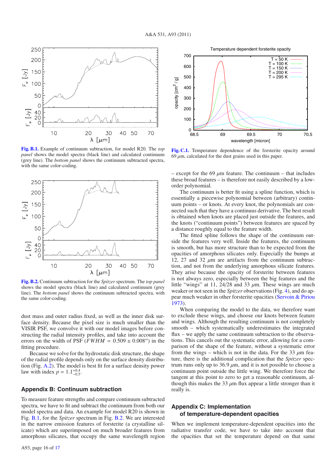

**[Fig. B.1.](http://dexter.edpsciences.org/applet.php?DOI=10.1051/0004-6361/201116770&pdf_id=12)** Example of continuum subtraction, for model R20. The *top panel* shows the model spectra (black line) and calculated continuum (grey line). The *bottom panel* shows the continuum subtracted spectra, with the same color-coding.



**[Fig. B.2.](http://dexter.edpsciences.org/applet.php?DOI=10.1051/0004-6361/201116770&pdf_id=13)** Continuum subtraction for the *Spitzer* spectrum. The *top panel* shows the model spectra (black line) and calculated continuum (grey line). The *bottom panel* shows the continuum subtracted spectra, with the same color-coding.

dust mass and outer radius fixed, as well as the inner disk surface density. Because the pixel size is much smaller than the VISIR PSF, we convolve it with our model images before constructing the radial intensity profiles, and take into account the errors on the width of PSF ( $FWHM = 0.509 \pm 0.008$ ") in the fitting procedure.

Because we solve for the hydrostatic disk structure, the shape of the radial profile depends only on the surface density distribution (Fig. A.2). The model is best fit for a surface density power law with index  $p = 1.1^{+0.4}_{-0.5}$ .

## **Appendix B: Continuum subtraction**

To measure feature strengths and compare continuum subtracted spectra, we have to fit and subtract the continuum from both our model spectra and data. An example for model R20 is shown in Fig. B.1, for the *Spitzer* spectrum in Fig. B.2. We are interested in the narrow emission features of forsterite (a crystalline silicate) which are superimposed on much broader features from amorphous silicates, that occupy the same wavelength region



**[Fig. C.1.](http://dexter.edpsciences.org/applet.php?DOI=10.1051/0004-6361/201116770&pdf_id=14)** Temperature dependence of the forsterite opacity around  $69 \mu m$ , calculated for the dust grains used in this paper.

– except for the 69  $\mu$ m feature. The continuum – that includes these broad features – is therefore not easily described by a loworder polynomial.

The continuum is better fit using a spline function, which is essentially a piecewise polynomial between (arbitrary) continuum points – or knots. At every knot, the polynomials are connected such that they have a continuus derivative. The best result is obtained when knots are placed just outside the features, and the knots ("continuum points") between features are spaced by a distance roughly equal to the feature width.

The fitted spline follows the shape of the continuum outside the features very well. Inside the features, the continuum is smooth, but has more structure than to be expected from the opacities of amorphous silicates only. Especially the bumps at 12, 27 and 32  $\mu$ m are artifacts from the continuum subtraction, and not from the underlying amorphous silicate features. They arise because the opacity of forsterite between features is not always zero, especially between the big features and the little "wings" at 11,  $24/28$  and 33  $\mu$ m. These wings are much weaker or not seen in the *Spitzer* observations (Fig. 4), and do appear much weaker in other forsterite opacities (Servoin & Piriou 1973).

When comparing the model to the data, we therefore want to exclude these wings, and choose our knots between feature and wings. Although the resulting continuum is not completely smooth – which systematically underestimates the integrated flux – we apply the same continuum subtraction to the observations. This cancels out the systematic error, allowing for a comparison of the shape of the feature, without a systematic error from the wings – which is not in the data. For the 33  $\mu$ m feature, there is the additional complication that the *Spitzer* spectrum runs only up to 36.9  $\mu$ m, and it is not possible to choose a continuum point outside the little wing. We therefore force the tangent at this point to zero to get a reasonable continuum, although this makes the 33  $\mu$ m flux appear a little stronger than it really is.

## **Appendix C: Implementation of temperature-dependent opacities**

When we implement temperature-dependent opacities into the radiative transfer code, we have to take into account that the opacities that set the temperature depend on that same

Temperature dependent forsterite opacity